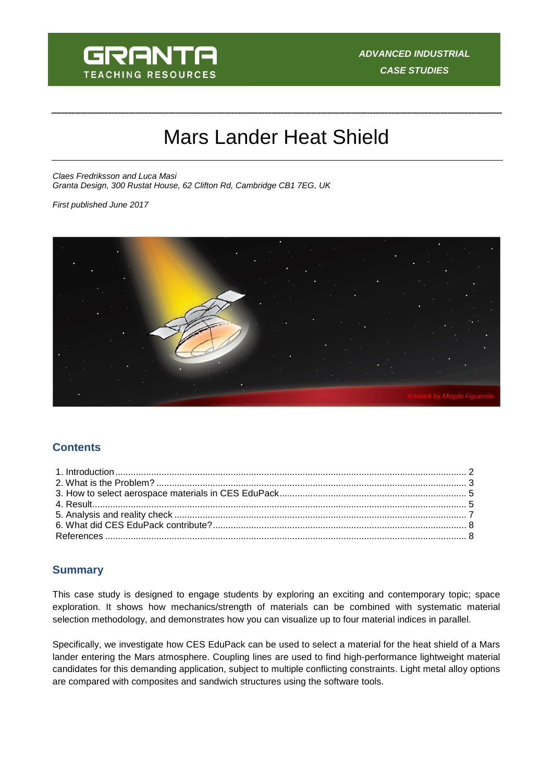

# Mars Lander Heat Shield

*Claes Fredriksson and Luca Masi Granta Design, 300 Rustat House, 62 Clifton Rd, Cambridge CB1 7EG, UK*

*First published June 2017*



## **Contents**

## **Summary**

This case study is designed to engage students by exploring an exciting and contemporary topic; space exploration. It shows how mechanics/strength of materials can be combined with systematic material selection methodology, and demonstrates how you can visualize up to four material indices in parallel.

Specifically, we investigate how CES EduPack can be used to select a material for the heat shield of a Mars lander entering the Mars atmosphere. Coupling lines are used to find high-performance lightweight material candidates for this demanding application, subject to multiple conflicting constraints. Light metal alloy options are compared with composites and sandwich structures using the software tools.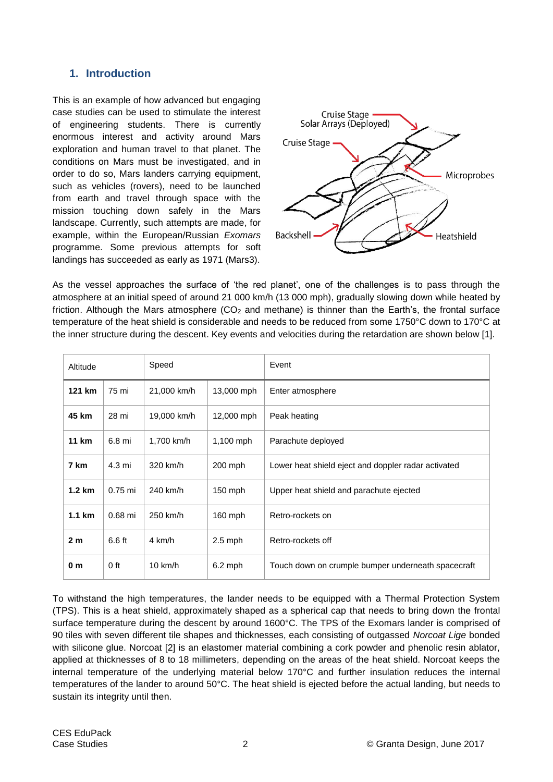## <span id="page-1-0"></span>**1. Introduction**

This is an example of how advanced but engaging case studies can be used to stimulate the interest of engineering students. There is currently enormous interest and activity around Mars exploration and human travel to that planet. The conditions on Mars must be investigated, and in order to do so, Mars landers carrying equipment, such as vehicles (rovers), need to be launched from earth and travel through space with the mission touching down safely in the Mars landscape. Currently, such attempts are made, for example, within the European/Russian *Exomars* programme. Some previous attempts for soft landings has succeeded as early as 1971 (Mars3).



As the vessel approaches the surface of 'the red planet', one of the challenges is to pass through the atmosphere at an initial speed of around 21 000 km/h (13 000 mph), gradually slowing down while heated by friction. Although the Mars atmosphere  $(CO<sub>2</sub>$  and methane) is thinner than the Earth's, the frontal surface temperature of the heat shield is considerable and needs to be reduced from some 1750°C down to 170°C at the inner structure during the descent. Key events and velocities during the retardation are shown below [1].

| Altitude         |           | Speed             |             | Event                                               |
|------------------|-----------|-------------------|-------------|-----------------------------------------------------|
| 121 km           | 75 mi     | 21,000 km/h       | 13,000 mph  | Enter atmosphere                                    |
| 45 km            | 28 mi     | 19,000 km/h       | 12,000 mph  | Peak heating                                        |
| 11 km            | 6.8 mi    | 1,700 km/h        | $1,100$ mph | Parachute deployed                                  |
| 7 km             | 4.3 mi    | 320 km/h          | 200 mph     | Lower heat shield eject and doppler radar activated |
| $1.2 \text{ km}$ | $0.75$ mi | 240 km/h          | $150$ mph   | Upper heat shield and parachute ejected             |
| $1.1 \text{ km}$ | $0.68$ mi | 250 km/h          | $160$ mph   | Retro-rockets on                                    |
| 2 <sub>m</sub>   | $6.6$ ft  | 4 km/h            | $2.5$ mph   | Retro-rockets off                                   |
| 0 m              | 0 ft      | $10 \text{ km/h}$ | $6.2$ mph   | Touch down on crumple bumper underneath spacecraft  |

To withstand the high temperatures, the lander needs to be equipped with a Thermal Protection System (TPS). This is a heat shield, approximately shaped as a spherical cap that needs to bring down the frontal surface temperature during the descent by around 1600°C. The TPS of the Exomars lander is comprised of 90 tiles with seven different tile shapes and thicknesses, each consisting of outgassed *Norcoat Lige* bonded with silicone glue. Norcoat [2] is an elastomer material combining a cork powder and phenolic resin ablator, applied at thicknesses of 8 to 18 millimeters, depending on the areas of the heat shield. Norcoat keeps the internal temperature of the underlying material below 170°C and further insulation reduces the internal temperatures of the lander to around 50°C. The heat shield is ejected before the actual landing, but needs to sustain its integrity until then.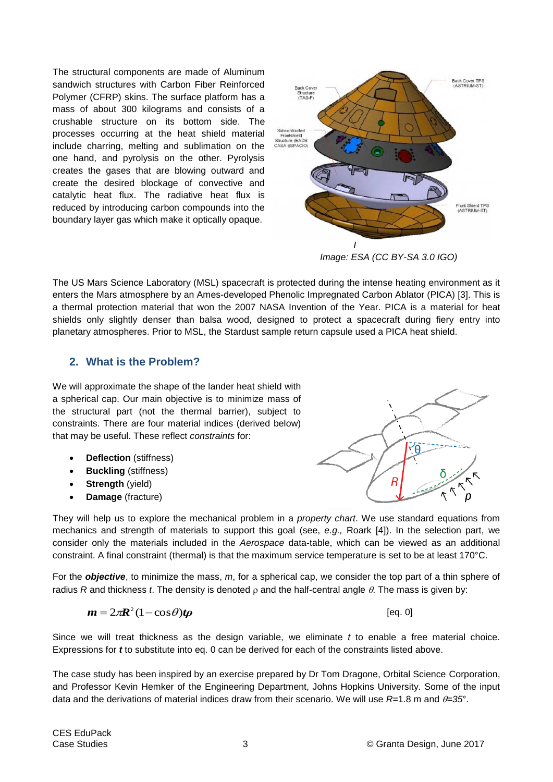The structural components are made of Aluminum sandwich structures with Carbon Fiber Reinforced Polymer (CFRP) skins. The surface platform has a mass of about 300 kilograms and consists of a crushable structure on its bottom side. The processes occurring at the heat shield material include charring, melting and sublimation on the one hand, and pyrolysis on the other. Pyrolysis creates the gases that are blowing outward and create the desired blockage of convective and catalytic heat flux. The radiative heat flux is reduced by introducing carbon compounds into the boundary layer gas which make it optically opaque.



*Image: ESA (CC BY-SA 3.0 IGO)*

The US Mars Science Laboratory (MSL) spacecraft is protected during the intense heating environment as it enters the Mars atmosphere by an Ames-developed Phenolic Impregnated Carbon Ablator (PICA) [3]. This is a thermal protection material that won the 2007 NASA Invention of the Year. PICA is a material for heat shields only slightly denser than balsa wood, designed to protect a spacecraft during fiery entry into planetary atmospheres. Prior to MSL, the Stardust sample return capsule used a PICA heat shield.

## <span id="page-2-0"></span>**2. What is the Problem?**

We will approximate the shape of the lander heat shield with a spherical cap. Our main objective is to minimize mass of the structural part (not the thermal barrier), subject to constraints. There are four material indices (derived below) that may be useful. These reflect *constraints* for:

- **Deflection** (stiffness)
- **Buckling** (stiffness)
- **Strength** (yield)
- **Damage** (fracture)

They will help us to explore the mechanical problem in a *property chart*. We use standard equations from mechanics and strength of materials to support this goal (see, *e.g.,* Roark [4]). In the selection part, we consider only the materials included in the *Aerospace* data-table, which can be viewed as an additional constraint. A final constraint (thermal) is that the maximum service temperature is set to be at least 170°C.

For the *objective*, to minimize the mass, *m*, for a spherical cap, we consider the top part of a thin sphere of radius *R* and thickness *t*. The density is denoted  $\rho$  and the half-central angle  $\theta$ . The mass is given by:

$$
m=2\pi R^2(1-\cos\theta)t\rho
$$

[eq. 0]

Since we will treat thickness as the design variable, we eliminate *t* to enable a free material choice. Expressions for *t* to substitute into eq. 0 can be derived for each of the constraints listed above.

The case study has been inspired by an exercise prepared by Dr Tom Dragone, Orbital Science Corporation, and Professor Kevin Hemker of the Engineering Department, Johns Hopkins University. Some of the input data and the derivations of material indices draw from their scenario. We will use  $R=1.8$  m and  $\theta=35^\circ$ .

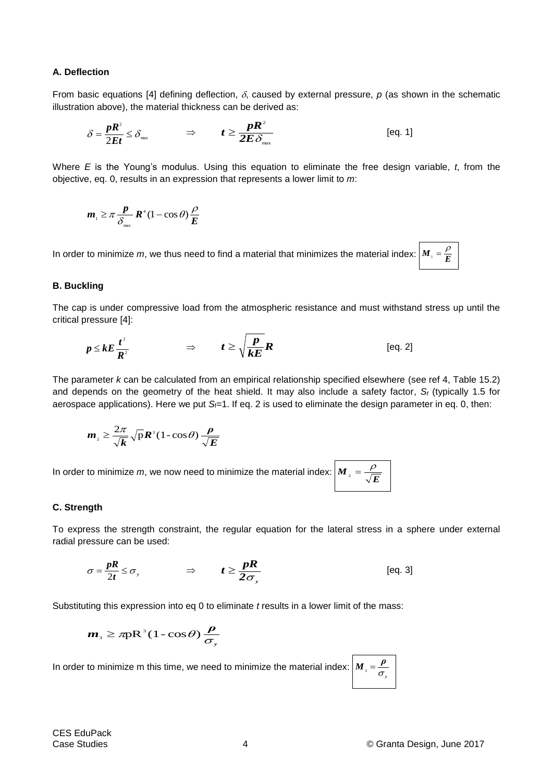#### **A. Deflection**

From basic equations [4] defining deflection,  $\delta$ , caused by external pressure,  $p$  (as shown in the schematic illustration above), the material thickness can be derived as:

$$
\delta = \frac{pR^2}{2Et} \le \delta_{\max} \qquad \Rightarrow \qquad t \ge \frac{pR^2}{2E \delta_{\max}} \qquad \qquad \text{[eq. 1]}
$$

Where *E* is the Young's modulus. Using this equation to eliminate the free design variable, *t*, from the objective, eq. 0, results in an expression that represents a lower limit to *m*:

$$
\boldsymbol{m}_{\scriptscriptstyle{1}} \geq \pi \frac{\boldsymbol{p}}{\delta_{\scriptscriptstyle{\text{max}}}} \boldsymbol{R}^4 (1 - \cos \theta) \frac{\rho}{\boldsymbol{E}}
$$

In order to minimize m, we thus need to find a material that minimizes the material index:  $\left| M_+\right| = \frac{P}{E}$ 

#### **B. Buckling**

The cap is under compressive load from the atmospheric resistance and must withstand stress up until the critical pressure [4]:

$$
p \leq kE \frac{t^2}{R^2} \qquad \qquad \Rightarrow \qquad t \geq \sqrt{\frac{p}{kE}} R \qquad \qquad \text{[eq. 2]}
$$

The parameter *k* can be calculated from an empirical relationship specified elsewhere (see ref 4, Table 15.2) and depends on the geometry of the heat shield. It may also include a safety factor, *S<sup>f</sup>* (typically 1.5 for aerospace applications). Here we put *S*<sub>f</sub>=1. If eq. 2 is used to eliminate the design parameter in eq. 0, then:

$$
\boldsymbol{m}_{2} \geq \frac{2\pi}{\sqrt{\boldsymbol{k}}} \sqrt{\mathbf{p}} \boldsymbol{R}^3 (1 - \cos \theta) \frac{\boldsymbol{\rho}}{\sqrt{\boldsymbol{E}}}
$$

In order to minimize m, we now need to minimize the material index:  $|\bm{M}|_2 = 1$ 

#### **C. Strength**

To express the strength constraint, the regular equation for the lateral stress in a sphere under external radial pressure can be used:

$$
\sigma = \frac{pR}{2t} \le \sigma, \qquad \Rightarrow \qquad t \ge \frac{pR}{2\sigma_y} \qquad \qquad \text{[eq. 3]}
$$

Substituting this expression into eq 0 to eliminate *t* results in a lower limit of the mass:

$$
m_{3} \geq \pi p R^{3} (1 - \cos \theta) \frac{\rho}{\sigma_{y}}
$$

In order to minimize m this time, we need to minimize the material index:  $\left| M_{\frac{1}{3}} = \frac{\rho}{\pi} \right|$  $\sigma_{l}$ 

*E*  $\rho$ 

 $\rho$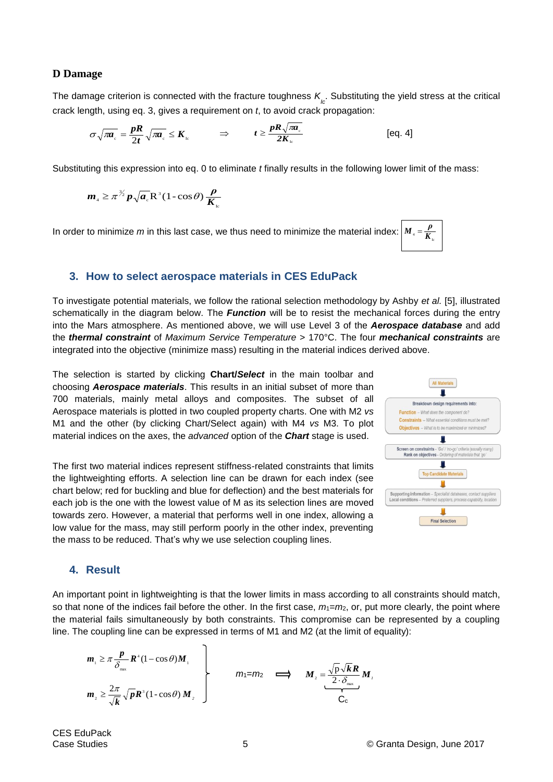#### **D Damage**

The damage criterion is connected with the fracture toughness  $K_{\atop l c}$ . Substituting the yield stress at the critical crack length, using eq. 3, gives a requirement on *t*, to avoid crack propagation:

$$
\sigma \sqrt{\pi a_{\rm c}} = \frac{pR}{2t} \sqrt{\pi a_{\rm c}} \leq K_{\rm lc} \qquad \Rightarrow \qquad t \geq \frac{pR \sqrt{\pi a_{\rm c}}}{2K_{\rm lc}} \qquad \qquad \text{[eq. 4]}
$$

Substituting this expression into eq. 0 to eliminate *t* finally results in the following lower limit of the mass:

$$
\boldsymbol{m}_{4} \geq \pi^{\frac{3}{2}} \boldsymbol{p}_{\sqrt{\boldsymbol{a}_{e}}} \mathbf{R}^3 (1 - \cos \theta) \frac{\boldsymbol{\rho}}{\boldsymbol{K}_{\mathrm{le}}}
$$

In order to minimize *m* in this last case, we thus need to minimize the material index: <sup>4</sup> **K**<sub>10</sub>  $M_{\textrm{A}} = \frac{\rho}{K}$ 

#### <span id="page-4-0"></span>**3. How to select aerospace materials in CES EduPack**

To investigate potential materials, we follow the rational selection methodology by Ashby *et al.* [5], illustrated schematically in the diagram below. The *Function* will be to resist the mechanical forces during the entry into the Mars atmosphere. As mentioned above, we will use Level 3 of the *Aerospace database* and add the *thermal constraint* of *Maximum Service Temperature* > 170°C. The four *mechanical constraints* are integrated into the objective (minimize mass) resulting in the material indices derived above.

The selection is started by clicking **Chart/***Select* in the main toolbar and choosing *Aerospace materials*. This results in an initial subset of more than 700 materials, mainly metal alloys and composites. The subset of all Aerospace materials is plotted in two coupled property charts. One with M2 *vs* M1 and the other (by clicking Chart/Select again) with M4 *vs* M3. To plot material indices on the axes, the *advanced* option of the *Chart* stage is used.

The first two material indices represent stiffness-related constraints that limits the lightweighting efforts. A selection line can be drawn for each index (see chart below; red for buckling and blue for deflection) and the best materials for each job is the one with the lowest value of M as its selection lines are moved towards zero. However, a material that performs well in one index, allowing a low value for the mass, may still perform poorly in the other index, preventing the mass to be reduced. That's why we use selection coupling lines.



Ic

### <span id="page-4-1"></span>**4. Result**

An important point in lightweighting is that the lower limits in mass according to all constraints should match, so that none of the indices fail before the other. In the first case,  $m_1=m_2$ , or, put more clearly, the point where the material fails simultaneously by both constraints. This compromise can be represented by a coupling line. The coupling line can be expressed in terms of M1 and M2 (at the limit of equality):

$$
m_1 \geq \pi \frac{p}{\delta_{\max}} R^4 (1 - \cos \theta) M_1
$$
\n
$$
m_2 \geq \frac{2\pi}{\sqrt{k}} \sqrt{p} R^3 (1 - \cos \theta) M_2
$$
\n
$$
m_3 \geq \frac{\sqrt{p} \sqrt{k} R}{C_c} M_1
$$

CES EduPack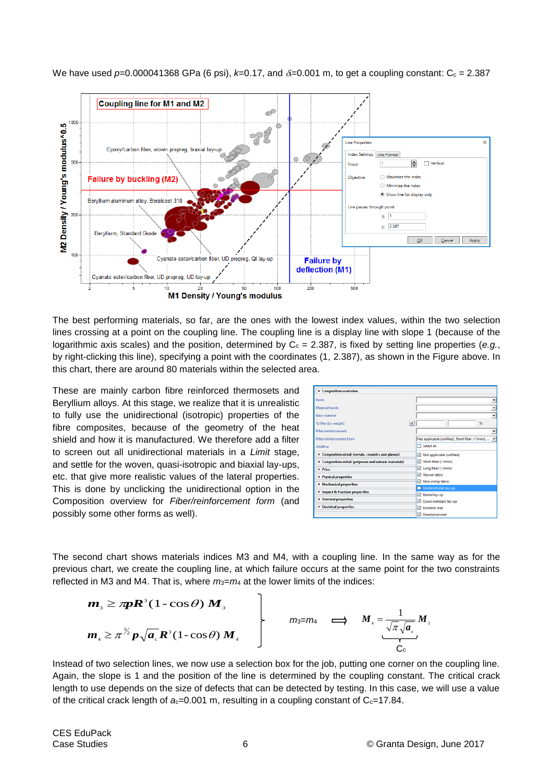

We have used  $p=0.000041368$  GPa (6 psi),  $k=0.17$ , and  $\delta=0.001$  m, to get a coupling constant: C<sub>c</sub> = 2.387

The best performing materials, so far, are the ones with the lowest index values, within the two selection lines crossing at a point on the coupling line. The coupling line is a display line with slope 1 (because of the logarithmic axis scales) and the position, determined by  $C_c = 2.387$ , is fixed by setting line properties (*e.g.*, by right-clicking this line), specifying a point with the coordinates (1, 2.387), as shown in the Figure above. In this chart, there are around 80 materials within the selected area.

These are mainly carbon fibre reinforced thermosets and Beryllium alloys. At this stage, we realize that it is unrealistic to fully use the unidirectional (isotropic) properties of the fibre composites, because of the geometry of the heat shield and how it is manufactured. We therefore add a filter to screen out all unidirectional materials in a *Limit* stage, and settle for the woven, quasi-isotropic and biaxial lay-ups, etc. that give more realistic values of the lateral properties. This is done by unclicking the unidirectional option in the Composition overview for *Fiber/reinforcement form* (and possibly some other forms as well).

| <b>v</b> Composition overview                       |   |                                                |
|-----------------------------------------------------|---|------------------------------------------------|
| Form                                                |   |                                                |
| Material family                                     |   |                                                |
| <b>Base material</b>                                |   |                                                |
| % filler (by weight)                                | œ | $\%$                                           |
| Filler/reinforcement                                |   |                                                |
| Filler/reinforcement form                           |   | Not applicable (unfilled), Short fiber (<5mm), |
| Additive                                            |   | Select all                                     |
| Composition detail (metals, ceramics and glasses)   |   | Not applicable (unfilled)<br>罓                 |
| Composition detail (polymers and natural materials) |   | Short fiber (<5mm)                             |
| > Price                                             |   | Long fiber (>5mm)<br>Й                         |
| Physical properties                                 |   | Woven fabric<br>罓                              |
| Mechanical properties                               |   | Non-crimp fabric<br>☑                          |
|                                                     |   | Unidirectional lay-up                          |
| Impact & fracture properties                        |   | Σ<br>Biaxial lay-up                            |
| > Thermal properties                                |   | Quasi-isotropic lay-up<br>Ø                    |
| Electrical properties                               |   | Random mat                                     |
|                                                     |   | ₽<br>Directional mat                           |

The second chart shows materials indices M3 and M4, with a coupling line. In the same way as for the previous chart, we create the coupling line, at which failure occurs at the same point for the two constraints reflected in M3 and M4. That is, where  $m_3 = m_4$  at the lower limits of the indices:

$$
\begin{array}{ccc}\n m_{3} \geq \pi \mathbf{R}^{3} (1 - \cos \theta) \mathbf{M}_{s} \\
m_{4} \geq \pi^{3/2} \mathbf{p} \sqrt{\mathbf{a}_{c}} \mathbf{R}^{3} (1 - \cos \theta) \mathbf{M}_{4}\n \end{array}\n \qquad\n \begin{array}{ccc}\n m_{3} = m_{4} & \implies & M_{4} = \frac{1}{\sqrt{\pi} \sqrt{\mathbf{a}_{c}}} \mathbf{M}_{s} \\
\frac{1}{\sqrt{\pi} \sqrt{\mathbf{a}_{c}}} \mathbf{M}_{s}\n \end{array}
$$

Instead of two selection lines, we now use a selection box for the job, putting one corner on the coupling line. Again, the slope is 1 and the position of the line is determined by the coupling constant. The critical crack length to use depends on the size of defects that can be detected by testing. In this case, we will use a value of the critical crack length of  $a<sub>c</sub>=0.001$  m, resulting in a coupling constant of  $C<sub>c</sub>=17.84$ .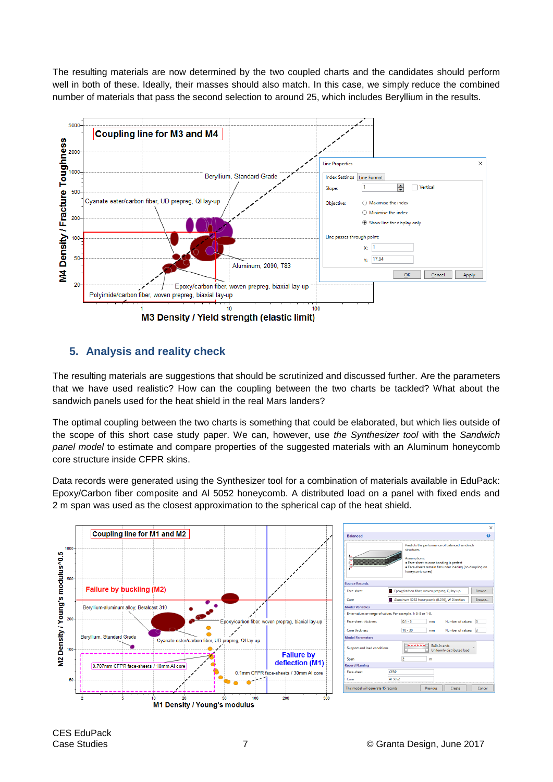The resulting materials are now determined by the two coupled charts and the candidates should perform well in both of these. Ideally, their masses should also match. In this case, we simply reduce the combined number of materials that pass the second selection to around 25, which includes Beryllium in the results.



# <span id="page-6-0"></span>**5. Analysis and reality check**

The resulting materials are suggestions that should be scrutinized and discussed further. Are the parameters that we have used realistic? How can the coupling between the two charts be tackled? What about the sandwich panels used for the heat shield in the real Mars landers?

The optimal coupling between the two charts is something that could be elaborated, but which lies outside of the scope of this short case study paper. We can, however, use *the Synthesizer tool* with the *Sandwich panel model* to estimate and compare properties of the suggested materials with an Aluminum honeycomb core structure inside CFPR skins.

Data records were generated using the Synthesizer tool for a combination of materials available in EduPack: Epoxy/Carbon fiber composite and Al 5052 honeycomb. A distributed load on a panel with fixed ends and 2 m span was used as the closest approximation to the spherical cap of the heat shield.